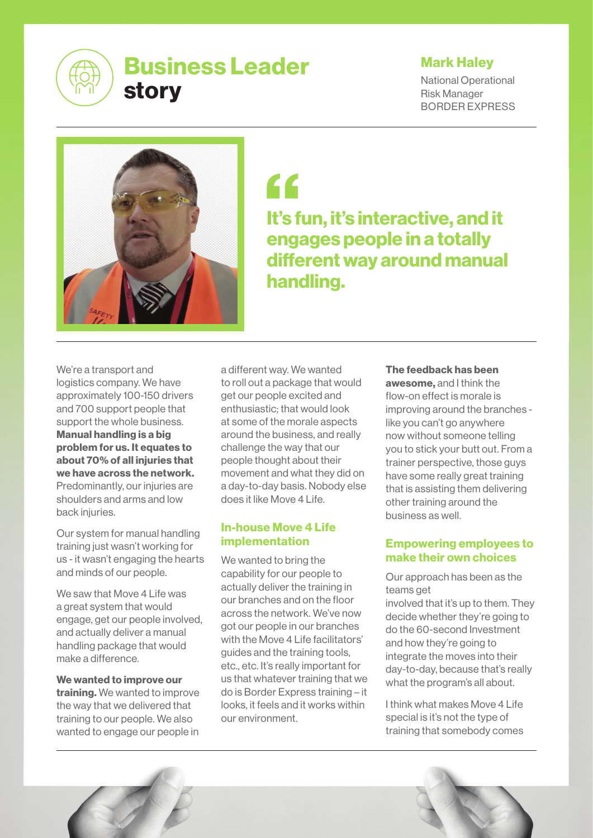

# Mark Haley

National Operational Risk Manager BORDER EXPRESS



"

It's fun, it's interactive, and it engages people in a totally different way around manual handling.

We're a transport and logistics company. We have approximately 100-150 drivers and 700 support people that support the whole business. Manual handling is a big problem for us. It equates to about 70% of all injuries that we have across the network. Predominantly, our injuries are shoulders and arms and low back injuries.

Our system for manual handling training just wasn't working for us - it wasn't engaging the hearts and minds of our people.

We saw that Move 4 Life was a great system that would engage, get our people involved, and actually deliver a manual handling package that would make a difference.

We wanted to improve our training. We wanted to improve the way that we delivered that training to our people. We also wanted to engage our people in a different way. We wanted to roll out a package that would get our people excited and enthusiastic; that would look at some of the morale aspects around the business, and really challenge the way that our people thought about their movement and what they did on a day-to-day basis. Nobody else does it like Move 4 Life.

## In-house Move 4 Life implementation

We wanted to bring the capability for our people to actually deliver the training in our branches and on the floor across the network. We've now got our people in our branches with the Move 4 Life facilitators' guides and the training tools, etc., etc. It's really important for us that whatever training that we do is Border Express training – it looks, it feels and it works within our environment.

#### The feedback has been

awesome, and I think the flow-on effect is morale is improving around the branches like you can't go anywhere now without someone telling you to stick your butt out. From a trainer perspective, those guys have some really great training that is assisting them delivering other training around the business as well.

## Empowering employees to make their own choices

Our approach has been as the teams get

involved that it's up to them. They decide whether they're going to do the 60-second Investment and how they're going to integrate the moves into their day-to-day, because that's really what the program's all about.

I think what makes Move 4 Life special is it's not the type of training that somebody comes